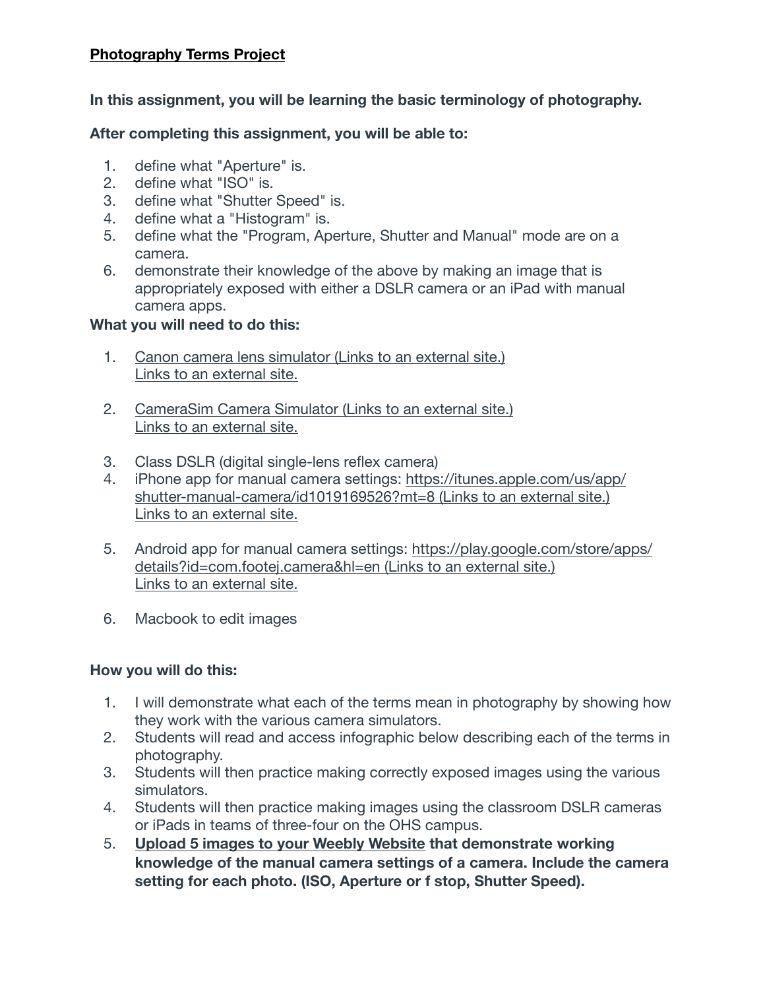# **Photography Terms Project**

**In this assignment, you will be learning the basic terminology of photography.**

## **After completing this assignment, you will be able to:**

- 1. define what "Aperture" is.
- 2. define what "ISO" is.
- 3. define what "Shutter Speed" is.
- 4. define what a "Histogram" is.
- 5. define what the "Program, Aperture, Shutter and Manual" mode are on a camera.
- 6. demonstrate their knowledge of the above by making an image that is appropriately exposed with either a DSLR camera or an iPad with manual camera apps.

#### **What you will need to do this:**

- 1. [Canon camera lens simulator](http://www.bhphotovideo.com/find/canonLensPage/canonLensPage.jsp/aperture) (Links to an external site.) [Links to an external site.](http://www.bhphotovideo.com/find/canonLensPage/canonLensPage.jsp/aperture)
- 2. [CameraSim Camera Simulator](http://camerasim.com/apps/original-camerasim/web/) (Links to an external site.) [Links to an external site.](http://camerasim.com/apps/original-camerasim/web/)
- 3. Class DSLR (digital single-lens reflex camera)
- 4. [iPhone app for manual camera settings:](https://itunes.apple.com/us/app/shutter-manual-camera/id1019169526?mt=8) [https://itunes.apple.com/us/app/](https://itunes.apple.com/us/app/shutter-manual-camera/id1019169526?mt=8) [shutter-manual-camera/id1019169526?mt=8](https://itunes.apple.com/us/app/shutter-manual-camera/id1019169526?mt=8) (Links to an external site.) [Links to an external site.](https://itunes.apple.com/us/app/shutter-manual-camera/id1019169526?mt=8)
- 5. [Android app for manual camera settings:](https://play.google.com/store/apps/details?id=com.footej.camera&hl=en) [https://play.google.com/store/apps/](https://play.google.com/store/apps/details?id=com.footej.camera&hl=en) [details?id=com.footej.camera&hl=en](https://play.google.com/store/apps/details?id=com.footej.camera&hl=en) (Links to an external site.) [Links to an external site.](https://play.google.com/store/apps/details?id=com.footej.camera&hl=en)
- 6. Macbook to edit images

#### **How you will do this:**

- 1. I will demonstrate what each of the terms mean in photography by showing how they work with the various camera simulators.
- 2. Students will read and access infographic below describing each of the terms in photography.
- 3. Students will then practice making correctly exposed images using the various simulators.
- 4. Students will then practice making images using the classroom DSLR cameras or iPads in teams of three-four on the OHS campus.
- 5. **Upload 5 images to your Weebly Website that demonstrate working knowledge of the manual camera settings of a camera. Include the camera setting for each photo. (ISO, Aperture or f stop, Shutter Speed).**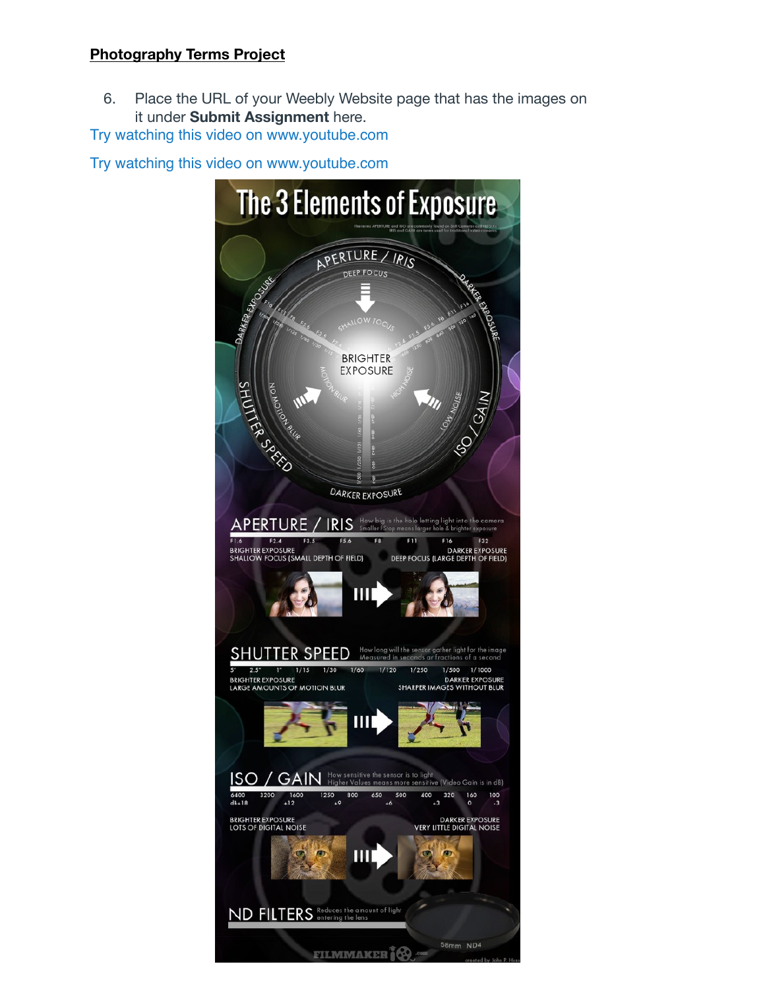## **Photography Terms Project**

6. Place the URL of your Weebly Website page that has the images on it under **Submit Assignment** here.

[Try watching this video on www.youtube.com](http://www.youtube.com/watch?v=3eVjUrY9a9c)

[Try watching this video on www.youtube.com](http://www.youtube.com/watch?v=Dt6AvJ7WZSI).